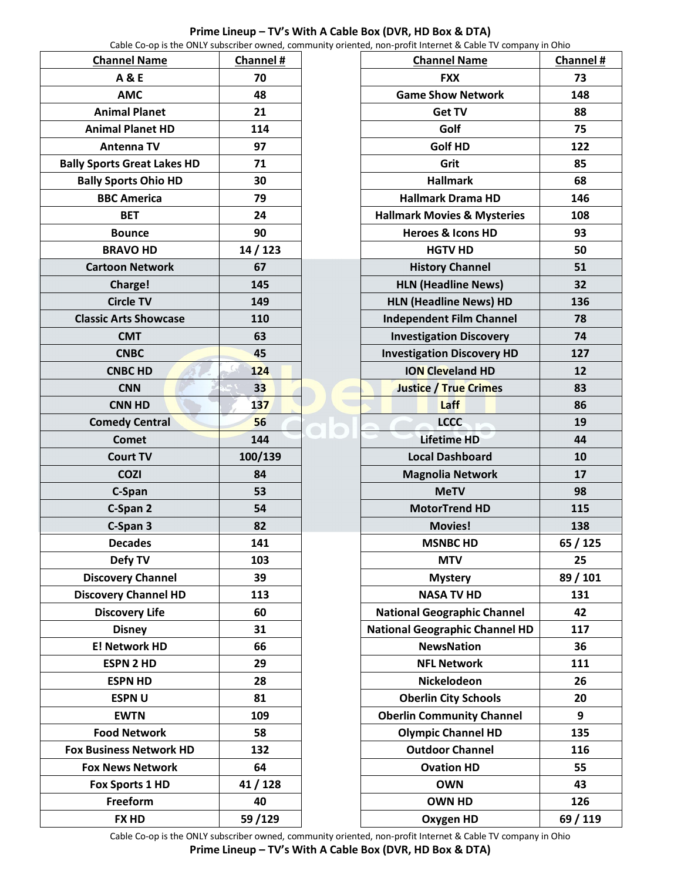|                                    |           | Cable Co-op is the ONLY subscriber owned, community oriented, non-profit Internet & Cable TV company in Ohio |     |
|------------------------------------|-----------|--------------------------------------------------------------------------------------------------------------|-----|
| <b>Channel Name</b>                | Channel # | <b>Channel Name</b>                                                                                          | Cha |
| <b>A&amp;E</b>                     | 70        | <b>FXX</b>                                                                                                   |     |
| <b>AMC</b>                         | 48        | <b>Game Show Network</b>                                                                                     |     |
| <b>Animal Planet</b>               | 21        | <b>Get TV</b>                                                                                                |     |
| <b>Animal Planet HD</b>            | 114       | Golf                                                                                                         |     |
| <b>Antenna TV</b>                  | 97        | <b>Golf HD</b>                                                                                               |     |
| <b>Bally Sports Great Lakes HD</b> | 71        | Grit                                                                                                         |     |
| <b>Bally Sports Ohio HD</b>        | 30        | <b>Hallmark</b>                                                                                              |     |
| <b>BBC America</b>                 | 79        | <b>Hallmark Drama HD</b>                                                                                     |     |
| <b>BET</b>                         | 24        | <b>Hallmark Movies &amp; Mysteries</b>                                                                       |     |
| <b>Bounce</b>                      | 90        | <b>Heroes &amp; Icons HD</b>                                                                                 |     |
| <b>BRAVO HD</b>                    | 14 / 123  | <b>HGTV HD</b>                                                                                               |     |
| <b>Cartoon Network</b>             | 67        | <b>History Channel</b>                                                                                       |     |
| Charge!                            | 145       | <b>HLN (Headline News)</b>                                                                                   |     |
| <b>Circle TV</b>                   | 149       | <b>HLN (Headline News) HD</b>                                                                                |     |
| <b>Classic Arts Showcase</b>       | 110       | <b>Independent Film Channel</b>                                                                              |     |
| <b>CMT</b>                         | 63        | <b>Investigation Discovery</b>                                                                               |     |
| <b>CNBC</b>                        | 45        | <b>Investigation Discovery HD</b>                                                                            |     |
| <b>CNBC HD</b>                     | 124       | <b>ION Cleveland HD</b>                                                                                      |     |
| <b>CNN</b>                         | 33        | <b>Justice / True Crimes</b>                                                                                 |     |
| <b>CNN HD</b>                      | 137       | Laff                                                                                                         |     |
| <b>Comedy Central</b>              | 56        | <b>LCCC</b>                                                                                                  |     |
| <b>Comet</b>                       | 144       | <b>Lifetime HD</b>                                                                                           |     |
| <b>Court TV</b>                    | 100/139   | <b>Local Dashboard</b>                                                                                       |     |
| <b>COZI</b>                        | 84        | <b>Magnolia Network</b>                                                                                      |     |
| C-Span                             | 53        | <b>MeTV</b>                                                                                                  |     |
| C-Span 2                           | 54        | <b>MotorTrend HD</b>                                                                                         |     |
| C-Span 3                           | 82        | <b>Movies!</b>                                                                                               |     |
| <b>Decades</b>                     | 141       | <b>MSNBC HD</b>                                                                                              | 65  |
| Defy TV                            | 103       | <b>MTV</b>                                                                                                   |     |
| <b>Discovery Channel</b>           | 39        | <b>Mystery</b>                                                                                               | 89  |
| <b>Discovery Channel HD</b>        | 113       | <b>NASA TV HD</b>                                                                                            |     |
| <b>Discovery Life</b>              | 60        | <b>National Geographic Channel</b>                                                                           |     |
| <b>Disney</b>                      | 31        | <b>National Geographic Channel HD</b>                                                                        |     |
| <b>E! Network HD</b>               | 66        | <b>NewsNation</b>                                                                                            |     |
| <b>ESPN 2 HD</b>                   | 29        | <b>NFL Network</b>                                                                                           |     |
| <b>ESPN HD</b>                     | 28        | Nickelodeon                                                                                                  |     |
| <b>ESPNU</b>                       | 81        | <b>Oberlin City Schools</b>                                                                                  |     |
| <b>EWTN</b>                        | 109       | <b>Oberlin Community Channel</b>                                                                             |     |
| <b>Food Network</b>                | 58        | <b>Olympic Channel HD</b>                                                                                    |     |
| <b>Fox Business Network HD</b>     | 132       | <b>Outdoor Channel</b>                                                                                       |     |
| <b>Fox News Network</b>            | 64        | <b>Ovation HD</b>                                                                                            |     |
| Fox Sports 1 HD                    | 41 / 128  | <b>OWN</b>                                                                                                   |     |
| Freeform                           | 40        | <b>OWN HD</b>                                                                                                |     |
| <b>FX HD</b>                       | 59/129    | <b>Oxygen HD</b>                                                                                             | 69  |

|                                        | <b>Channel Name</b>               | Channel # |
|----------------------------------------|-----------------------------------|-----------|
| <b>FXX</b>                             |                                   | 73        |
| <b>Game Show Network</b>               |                                   | 148       |
| <b>Get TV</b>                          |                                   | 88        |
| Golf                                   |                                   | 75        |
| <b>Golf HD</b>                         |                                   | 122       |
|                                        | Grit                              | 85        |
|                                        | <b>Hallmark</b>                   | 68        |
|                                        | <b>Hallmark Drama HD</b>          | 146       |
| <b>Hallmark Movies &amp; Mysteries</b> |                                   | 108       |
| <b>Heroes &amp; Icons HD</b>           |                                   | 93        |
| <b>HGTV HD</b>                         |                                   | 50        |
|                                        | <b>History Channel</b>            | 51        |
|                                        | <b>HLN (Headline News)</b>        | 32        |
|                                        | <b>HLN (Headline News) HD</b>     | 136       |
|                                        | <b>Independent Film Channel</b>   | 78        |
|                                        | <b>Investigation Discovery</b>    | 74        |
|                                        | <b>Investigation Discovery HD</b> | 127       |
|                                        | <b>ION Cleveland HD</b>           | 12        |
|                                        | <b>Justice / True Crimes</b>      | 83        |
|                                        | Laff                              | 86        |
|                                        | <b>LCCC</b>                       | 19        |
| <b>Lifetime HD</b>                     |                                   | 44        |
| <b>Local Dashboard</b>                 |                                   | 10        |
| <b>Magnolia Network</b>                |                                   | 17        |
| <b>MeTV</b>                            |                                   | 98        |
| <b>MotorTrend HD</b>                   |                                   | 115       |
| <b>Movies!</b>                         |                                   | 138       |
| <b>MSNBC HD</b>                        |                                   | 65 / 125  |
| <b>MTV</b>                             |                                   | 25        |
| <b>Mystery</b>                         |                                   | 89 / 101  |
| <b>NASA TV HD</b>                      |                                   | 131       |
| <b>National Geographic Channel</b>     |                                   | 42        |
| <b>National Geographic Channel HD</b>  |                                   | 117       |
| <b>NewsNation</b>                      |                                   | 36        |
| <b>NFL Network</b>                     |                                   | 111       |
| Nickelodeon                            |                                   | 26        |
| <b>Oberlin City Schools</b>            |                                   | 20        |
| <b>Oberlin Community Channel</b>       |                                   | 9         |
| <b>Olympic Channel HD</b>              |                                   | 135       |
| <b>Outdoor Channel</b>                 |                                   | 116       |
| <b>Ovation HD</b>                      |                                   | 55        |
| <b>OWN</b>                             |                                   | 43        |
|                                        | <b>OWN HD</b>                     | 126       |
|                                        | <b>Oxygen HD</b>                  | 69 / 119  |

┑

**Prime Lineup – TV's With A Cable Box (DVR, HD Box & DTA)**

Cable Co-op is the ONLY subscriber owned, community oriented, non-profit Internet & Cable TV company in Ohio

**Prime Lineup – TV's With A Cable Box (DVR, HD Box & DTA)**